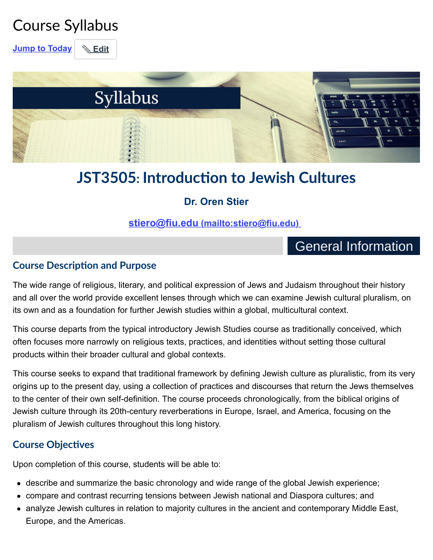## Course Syllabus

**[Jump to Today](https://fiu.instructure.com/courses/34940/assignments/syllabus#)** | **& [Edit](https://fiu.instructure.com/courses/34940/assignments/syllabus#)** 



## **JST3505: Introduc!on to Jewish Cultures**

### **Dr. Oren Stier**

**[stiero@fiu.edu \(mailto:stiero@fiu.edu\)](mailto:stiero@fiu.edu)** 

## **General Information**

### **Course Description and Purpose**

The wide range of religious, literary, and political expression of Jews and Judaism throughout their history and all over the world provide excellent lenses through which we can examine Jewish cultural pluralism, on its own and as a foundation for further Jewish studies within a global, multicultural context.

This course departs from the typical introductory Jewish Studies course as traditionally conceived, which often focuses more narrowly on religious texts, practices, and identities without setting those cultural products within their broader cultural and global contexts.

This course seeks to expand that traditional framework by defining Jewish culture as pluralistic, from its very origins up to the present day, using a collection of practices and discourses that return the Jews themselves to the center of their own self-definition. The course proceeds chronologically, from the biblical origins of Jewish culture through its 20th-century reverberations in Europe, Israel, and America, focusing on the pluralism of Jewish cultures throughout this long history.

### **Course Objectives**

Upon completion of this course, students will be able to:

- describe and summarize the basic chronology and wide range of the global Jewish experience;
- compare and contrast recurring tensions between Jewish national and Diaspora cultures; and
- analyze Jewish cultures in relation to majority cultures in the ancient and contemporary Middle East, Europe, and the Americas.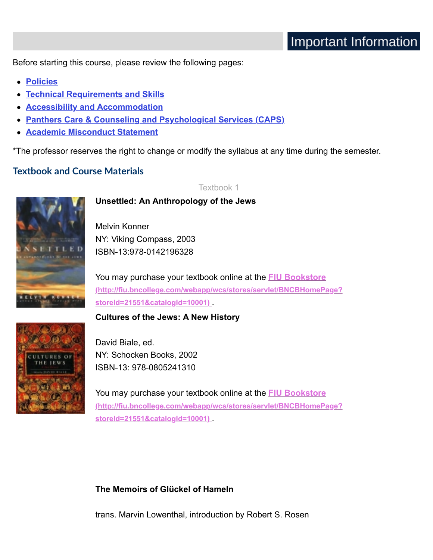Before starting this course, please review the following pages:

- **[Policies](https://fiu.instructure.com/courses/34940/pages/policies)**
- **[Technical Requirements and Skills](https://fiu.instructure.com/courses/34940/pages/technical-requirements-and-skills)**
- **[Accessibility and Accommodation](https://fiu.instructure.com/courses/34940/pages/accessibility-and-accommodation)**
- **[Panthers Care & Counseling and Psychological Services \(CAPS\)](https://fiu.instructure.com/courses/34940/pages/panthers-cafe-and-counseling-and-psychological-services-caps)**
- **[Academic Misconduct Statement](https://fiu.instructure.com/courses/34940/pages/academic-misconduct-statement)**

\*The professor reserves the right to change or modify the syllabus at any time during the semester.

#### **Textbook and Course Materials**

Textbook 1



**Unsettled: An Anthropology of the Jews**

Melvin Konner NY: Viking Compass, 2003 ISBN-13:978-0142196328

You may purchase your textbook online at the **FIU Bookstore [\(http://fiu.bncollege.com/webapp/wcs/stores/servlet/BNCBHomePage?](http://fiu.bncollege.com/webapp/wcs/stores/servlet/BNCBHomePage?storeId=21551&catalogId=10001) storeId=21551&catalogId=10001)** .

**Cultures of the Jews: A New History**

![](_page_1_Picture_15.jpeg)

David Biale, ed. NY: Schocken Books, 2002 ISBN-13: 978-0805241310

You may purchase your textbook online at the **FIU Bookstore [\(http://fiu.bncollege.com/webapp/wcs/stores/servlet/BNCBHomePage?](http://fiu.bncollege.com/webapp/wcs/stores/servlet/BNCBHomePage?storeId=21551&catalogId=10001) storeId=21551&catalogId=10001)** .

**The Memoirs of Glückel of Hameln**

trans. Marvin Lowenthal, introduction by Robert S. Rosen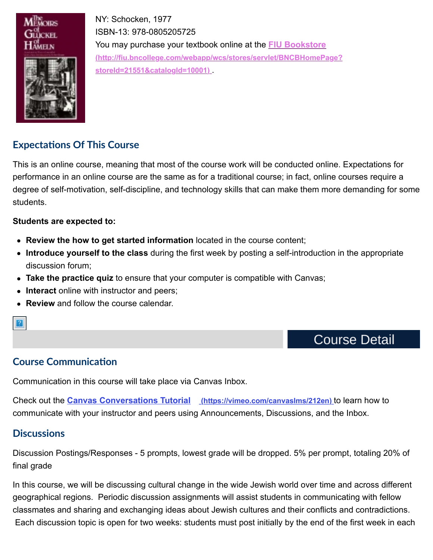![](_page_2_Picture_0.jpeg)

NY: Schocken, 1977 ISBN-13: 978-0805205725 You may purchase your textbook online at the **FIU Bookstore [\(http://fiu.bncollege.com/webapp/wcs/stores/servlet/BNCBHomePage?](http://fiu.bncollege.com/webapp/wcs/stores/servlet/BNCBHomePage?storeId=21551&catalogId=10001) storeId=21551&catalogId=10001)** .

### **Expecta!ons Of This Course**

This is an online course, meaning that most of the course work will be conducted online. Expectations for performance in an online course are the same as for a traditional course; in fact, online courses require a degree of self-motivation, self-discipline, and technology skills that can make them more demanding for some students.

#### **Students are expected to:**

- **Review the how to get started information** located in the course content;
- **Introduce yourself to the class** during the first week by posting a self-introduction in the appropriate discussion forum;
- **Take the practice quiz** to ensure that your computer is compatible with Canvas;
- **Interact** online with instructor and peers;
- **Review** and follow the course calendar.

### **Course Detail**

### **Course Communication**

Communication in this course will take place via Canvas Inbox.

Check out the **[Canvas Conversations Tutorial \(https://vimeo.com/canvaslms/212en\)](https://vimeo.com/canvaslms/212en)** to learn how to communicate with your instructor and peers using Announcements, Discussions, and the Inbox.

#### **Discussions**

?

Discussion Postings/Responses - 5 prompts, lowest grade will be dropped. 5% per prompt, totaling 20% of final grade

In this course, we will be discussing cultural change in the wide Jewish world over time and across different geographical regions. Periodic discussion assignments will assist students in communicating with fellow classmates and sharing and exchanging ideas about Jewish cultures and their conflicts and contradictions. Each discussion topic is open for two weeks: students must post initially by the end of the first week in each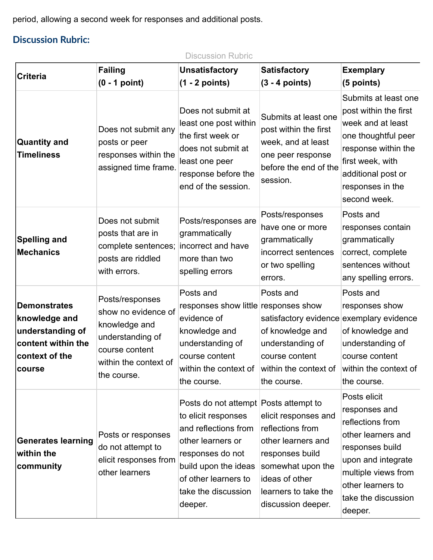period, allowing a second week for responses and additional posts.

### **Discussion Rubric:**

Discussion Rubric

| <b>Criteria</b>                                                                                            | <b>Failing</b><br>$(0 - 1$ point)                                                                                                     | <b>Unsatisfactory</b><br>$(1 - 2 points)$                                                                                                                                                                       | <b>Satisfactory</b><br>$(3 - 4 points)$                                                                                                                                | <b>Exemplary</b><br>(5 points)                                                                                                                                                                 |
|------------------------------------------------------------------------------------------------------------|---------------------------------------------------------------------------------------------------------------------------------------|-----------------------------------------------------------------------------------------------------------------------------------------------------------------------------------------------------------------|------------------------------------------------------------------------------------------------------------------------------------------------------------------------|------------------------------------------------------------------------------------------------------------------------------------------------------------------------------------------------|
| <b>Quantity and</b><br><b>Timeliness</b>                                                                   | Does not submit any<br>posts or peer<br>responses within the<br>assigned time frame.                                                  | Does not submit at<br>least one post within<br>the first week or<br>does not submit at<br>least one peer<br>response before the<br>end of the session.                                                          | Submits at least one<br>post within the first<br>week, and at least<br>one peer response<br>before the end of the<br>session.                                          | Submits at least one<br>post within the first<br>week and at least<br>one thoughtful peer<br>response within the<br>first week, with<br>additional post or<br>responses in the<br>second week. |
| <b>Spelling and</b><br><b>Mechanics</b>                                                                    | Does not submit<br>posts that are in<br>complete sentences;<br>posts are riddled<br>with errors.                                      | Posts/responses are<br>grammatically<br>incorrect and have<br>more than two<br>spelling errors                                                                                                                  | Posts/responses<br>have one or more<br>grammatically<br>incorrect sentences<br>or two spelling<br>errors.                                                              | Posts and<br>responses contain<br>grammatically<br>correct, complete<br>sentences without<br>any spelling errors.                                                                              |
| <b>Demonstrates</b><br>knowledge and<br>understanding of<br>content within the<br>context of the<br>course | Posts/responses<br>show no evidence of<br>knowledge and<br>understanding of<br>course content<br>within the context of<br>the course. | Posts and<br>responses show little responses show<br>evidence of<br>knowledge and<br>understanding of<br>course content<br>within the context of<br>the course.                                                 | Posts and<br>satisfactory evidence exemplary evidence<br>of knowledge and<br>understanding of<br>course content<br>within the context of<br>the course.                | Posts and<br>responses show<br>of knowledge and<br>understanding of<br>course content<br>within the context of<br>the course.                                                                  |
| <b>Generates learning</b><br>within the<br>community                                                       | Posts or responses<br>do not attempt to<br>elicit responses from<br>other learners                                                    | Posts do not attempt Posts attempt to<br>to elicit responses<br>and reflections from<br>other learners or<br>responses do not<br>build upon the ideas<br>of other learners to<br>take the discussion<br>deeper. | elicit responses and<br>reflections from<br>other learners and<br>responses build<br>somewhat upon the<br>ideas of other<br>learners to take the<br>discussion deeper. | Posts elicit<br>responses and<br>reflections from<br>other learners and<br>responses build<br>upon and integrate<br>multiple views from<br>other learners to<br>take the discussion<br>deeper. |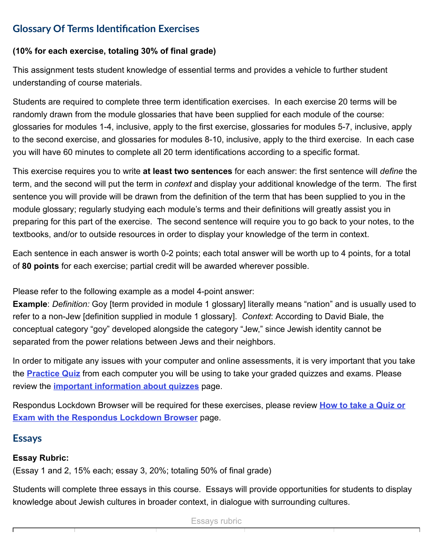### **Glossary Of Terms Iden!fica!on Exercises**

#### **(10% for each exercise, totaling 30% of final grade)**

This assignment tests student knowledge of essential terms and provides a vehicle to further student understanding of course materials.

Students are required to complete three term identification exercises. In each exercise 20 terms will be randomly drawn from the module glossaries that have been supplied for each module of the course: glossaries for modules 1-4, inclusive, apply to the first exercise, glossaries for modules 5-7, inclusive, apply to the second exercise, and glossaries for modules 8-10, inclusive, apply to the third exercise. In each case you will have 60 minutes to complete all 20 term identifications according to a specific format.

This exercise requires you to write **at least two sentences** for each answer: the first sentence will *define* the term, and the second will put the term in *context* and display your additional knowledge of the term. The first sentence you will provide will be drawn from the definition of the term that has been supplied to you in the module glossary; regularly studying each module's terms and their definitions will greatly assist you in preparing for this part of the exercise. The second sentence will require you to go back to your notes, to the textbooks, and/or to outside resources in order to display your knowledge of the term in context.

Each sentence in each answer is worth 0-2 points; each total answer will be worth up to 4 points, for a total of **80 points** for each exercise; partial credit will be awarded wherever possible.

Please refer to the following example as a model 4-point answer:

**Example**: *Definition:* Goy [term provided in module 1 glossary] literally means "nation" and is usually used to refer to a non-Jew [definition supplied in module 1 glossary]. *Context*: According to David Biale, the conceptual category "goy" developed alongside the category "Jew," since Jewish identity cannot be separated from the power relations between Jews and their neighbors.

In order to mitigate any issues with your computer and online assessments, it is very important that you take the **[Practice Quiz](https://fiu.instructure.com/courses/34940/quizzes/156107)** from each computer you will be using to take your graded quizzes and exams. Please review the **[important information about quizzes](https://fiu.instructure.com/courses/34940/pages/important-information-about-quizzes)** page.

[Respondus Lockdown Browser will be required for these exercises, please review](https://fiu.instructure.com/courses/34940/pages/how-to-take-a-quiz-or-exam-with-the-respondus-lockdown-browser) **How to take a Quiz or Exam with the Respondus Lockdown Browser** page.

#### **Essays**

#### **Essay Rubric:**

(Essay 1 and 2, 15% each; essay 3, 20%; totaling 50% of final grade)

Students will complete three essays in this course. Essays will provide opportunities for students to display knowledge about Jewish cultures in broader context, in dialogue with surrounding cultures.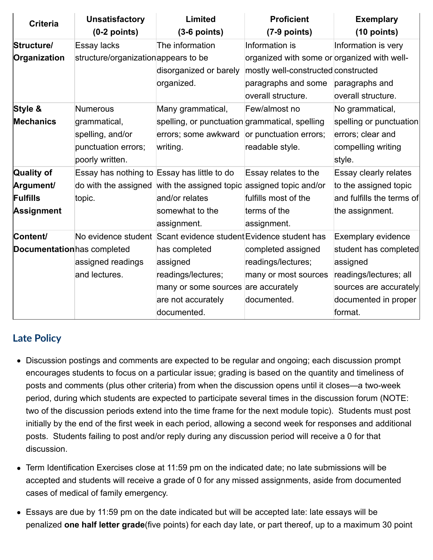| <b>Criteria</b>             | <b>Unsatisfactory</b>                       | Limited                                                            | <b>Proficient</b>                           | <b>Exemplary</b>          |
|-----------------------------|---------------------------------------------|--------------------------------------------------------------------|---------------------------------------------|---------------------------|
|                             | $(0-2$ points)                              | $(3-6$ points)                                                     | $(7-9$ points)                              | $(10$ points)             |
| Structure/                  | Essay lacks                                 | The information                                                    | Information is                              | Information is very       |
| Organization                | structure/organization appears to be        |                                                                    | organized with some or organized with well- |                           |
|                             |                                             | disorganized or barely                                             | mostly well-constructed constructed         |                           |
|                             |                                             | organized.                                                         | paragraphs and some                         | paragraphs and            |
|                             |                                             |                                                                    | overall structure.                          | overall structure.        |
| Style &                     | <b>Numerous</b>                             | Many grammatical,                                                  | Few/almost no                               | No grammatical,           |
| <b>Mechanics</b>            | grammatical,                                | spelling, or punctuation grammatical, spelling                     |                                             | spelling or punctuation   |
|                             | spelling, and/or                            | errors; some awkward                                               | or punctuation errors;                      | errors; clear and         |
|                             | punctuation errors;                         | writing.                                                           | readable style.                             | compelling writing        |
|                             | poorly written.                             |                                                                    |                                             | style.                    |
| <b>Quality of</b>           | Essay has nothing to Essay has little to do |                                                                    | Essay relates to the                        | Essay clearly relates     |
| Argument/                   |                                             | do with the assigned with the assigned topic assigned topic and/or |                                             | to the assigned topic     |
| Fulfills                    | topic.                                      | and/or relates                                                     | fulfills most of the                        | and fulfills the terms of |
| <b>Assignment</b>           |                                             | somewhat to the                                                    | terms of the                                | the assignment.           |
|                             |                                             | assignment.                                                        | assignment.                                 |                           |
| Content/                    |                                             | No evidence student Scant evidence student Evidence student has    |                                             | <b>Exemplary evidence</b> |
| Documentation has completed |                                             | has completed                                                      | completed assigned                          | student has completed     |
|                             | assigned readings                           | assigned                                                           | readings/lectures;                          | assigned                  |
|                             | and lectures.                               | readings/lectures;                                                 | many or most sources                        | readings/lectures; all    |
|                             |                                             | many or some sources are accurately                                |                                             | sources are accurately    |
|                             |                                             | are not accurately                                                 | documented.                                 | documented in proper      |
|                             |                                             | documented.                                                        |                                             | format.                   |

### **Late Policy**

- Discussion postings and comments are expected to be regular and ongoing; each discussion prompt encourages students to focus on a particular issue; grading is based on the quantity and timeliness of posts and comments (plus other criteria) from when the discussion opens until it closes—a two-week period, during which students are expected to participate several times in the discussion forum (NOTE: two of the discussion periods extend into the time frame for the next module topic). Students must post initially by the end of the first week in each period, allowing a second week for responses and additional posts. Students failing to post and/or reply during any discussion period will receive a 0 for that discussion.
- Term Identification Exercises close at 11:59 pm on the indicated date; no late submissions will be accepted and students will receive a grade of 0 for any missed assignments, aside from documented cases of medical of family emergency.
- Essays are due by 11:59 pm on the date indicated but will be accepted late: late essays will be penalized **one half letter grade**(five points) for each day late, or part thereof, up to a maximum 30 point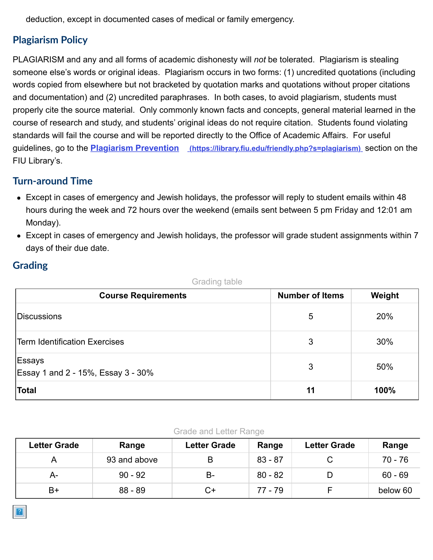deduction, except in documented cases of medical or family emergency.

### **Plagiarism Policy**

PLAGIARISM and any and all forms of academic dishonesty will *not* be tolerated. Plagiarism is stealing someone else's words or original ideas. Plagiarism occurs in two forms: (1) uncredited quotations (including words copied from elsewhere but not bracketed by quotation marks and quotations without proper citations and documentation) and (2) uncredited paraphrases. In both cases, to avoid plagiarism, students must properly cite the source material. Only commonly known facts and concepts, general material learned in the course of research and study, and students' original ideas do not require citation. Students found violating standards will fail the course and will be reported directly to the Office of Academic Affairs. For useful guidelines, go to the **Plagiarism Prevention** (https://library.fiu.edu/friendly.php?s=plagiarism)</u> section on the FIU Library's.

#### **Turn-around Time**

- Except in cases of emergency and Jewish holidays, the professor will reply to student emails within 48 hours during the week and 72 hours over the weekend (emails sent between 5 pm Friday and 12:01 am Monday).
- Except in cases of emergency and Jewish holidays, the professor will grade student assignments within 7 days of their due date.

### **Grading**

| <b>Course Requirements</b>                   | <b>Number of Items</b> | Weight |
|----------------------------------------------|------------------------|--------|
| Discussions                                  | 5                      | 20%    |
| <b>Term Identification Exercises</b>         | 3                      | 30%    |
| Essays<br>Essay 1 and 2 - 15%, Essay 3 - 30% | 3                      | 50%    |
| <b>Total</b>                                 | 11                     | 100%   |

Grading table

#### Grade and Letter Range

| <b>Letter Grade</b> | Range        | <b>Letter Grade</b> | Range     | <b>Letter Grade</b> | Range     |
|---------------------|--------------|---------------------|-----------|---------------------|-----------|
|                     | 93 and above | B                   | $83 - 87$ |                     | $70 - 76$ |
| А-                  | $90 - 92$    | B-                  | $80 - 82$ |                     | $60 - 69$ |
| $B+$                | $88 - 89$    | C+                  | 77 - 79   |                     | below 60  |

![](_page_6_Picture_11.jpeg)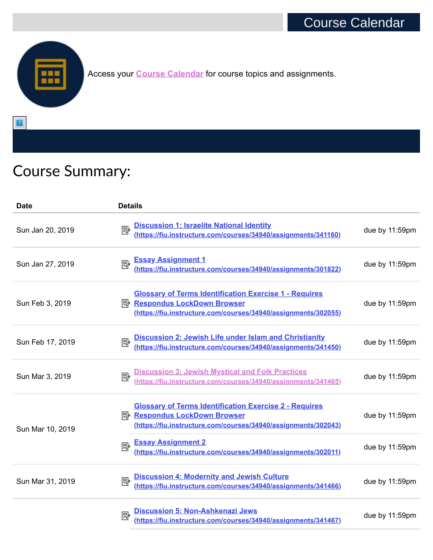![](_page_7_Picture_1.jpeg)

Access your **[Course Calendar](https://fiu.instructure.com/courses/34940/pages/jst3505-course-calendar)** for course topics and assignments.

 $\boxed{?}$ 

# Course Summary:

| <b>Date</b>      | <b>Details</b>                                                                                                                                                         |                |
|------------------|------------------------------------------------------------------------------------------------------------------------------------------------------------------------|----------------|
| Sun Jan 20, 2019 | Discussion 1: Israelite National Identity<br>(https://fiu.instructure.com/courses/34940/assignments/341160)<br>國                                                       | due by 11:59pm |
| Sun Jan 27, 2019 | Essay Assignment 1<br>(https://fiu.instructure.com/courses/34940/assignments/301822)<br>國                                                                              | due by 11:59pm |
| Sun Feb 3, 2019  | <b>Glossary of Terms Identification Exercise 1 - Requires</b><br>Respondus LockDown Browser<br>(https://fiu.instructure.com/courses/34940/assignments/302055)          | due by 11:59pm |
| Sun Feb 17, 2019 | Discussion 2: Jewish Life under Islam and Christianity<br>(https://fiu.instructure.com/courses/34940/assignments/341450)<br>國                                          | due by 11:59pm |
| Sun Mar 3, 2019  | Discussion 3: Jewish Mystical and Folk Practices<br>(https://fiu.instructure.com/courses/34940/assignments/341465)<br>國                                                | due by 11:59pm |
| Sun Mar 10, 2019 | <b>Glossary of Terms Identification Exercise 2 - Requires</b><br><b>B</b> Respondus LockDown Browser<br>(https://fiu.instructure.com/courses/34940/assignments/302043) | due by 11:59pm |
|                  | <b>Essay Assignment 2</b><br>國<br>(https://fiu.instructure.com/courses/34940/assignments/302011)                                                                       | due by 11:59pm |
| Sun Mar 31, 2019 | Discussion 4: Modernity and Jewish Culture<br>(https://fiu.instructure.com/courses/34940/assignments/341466)<br>國                                                      | due by 11:59pm |
|                  | Discussion 5: Non-Ashkenazi Jews<br>(https://fiu.instructure.com/courses/34940/assignments/341467)<br>國                                                                | due by 11:59pm |